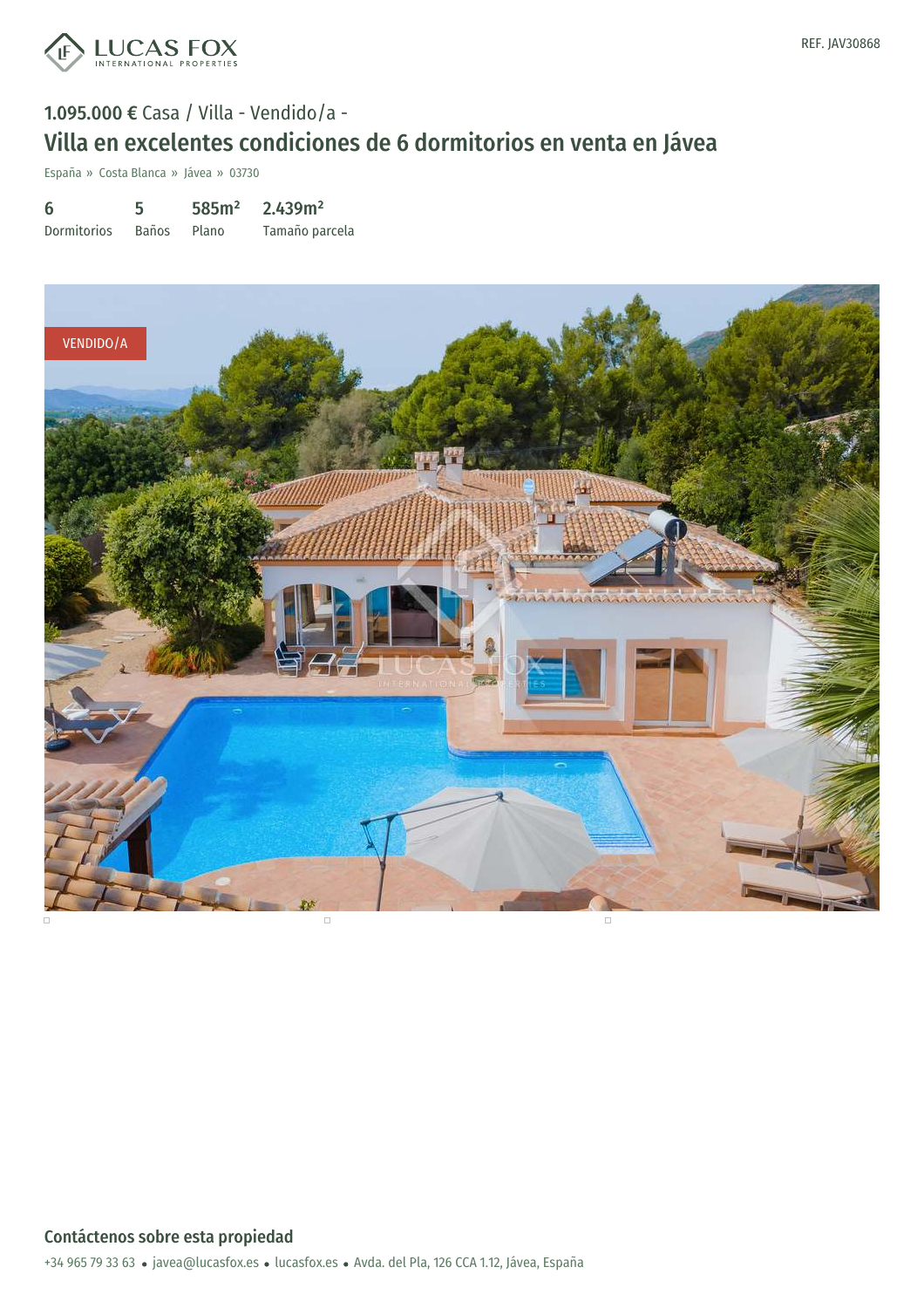

# 1.095.000 € Casa / Villa - Vendido/a - Villa en excelentes condiciones de 6 dormitorios en venta en Jávea

España » Costa Blanca » Jávea » 03730

6 Dormitorios 5 Baños 585m² Plano 2.439m² Tamaño parcela

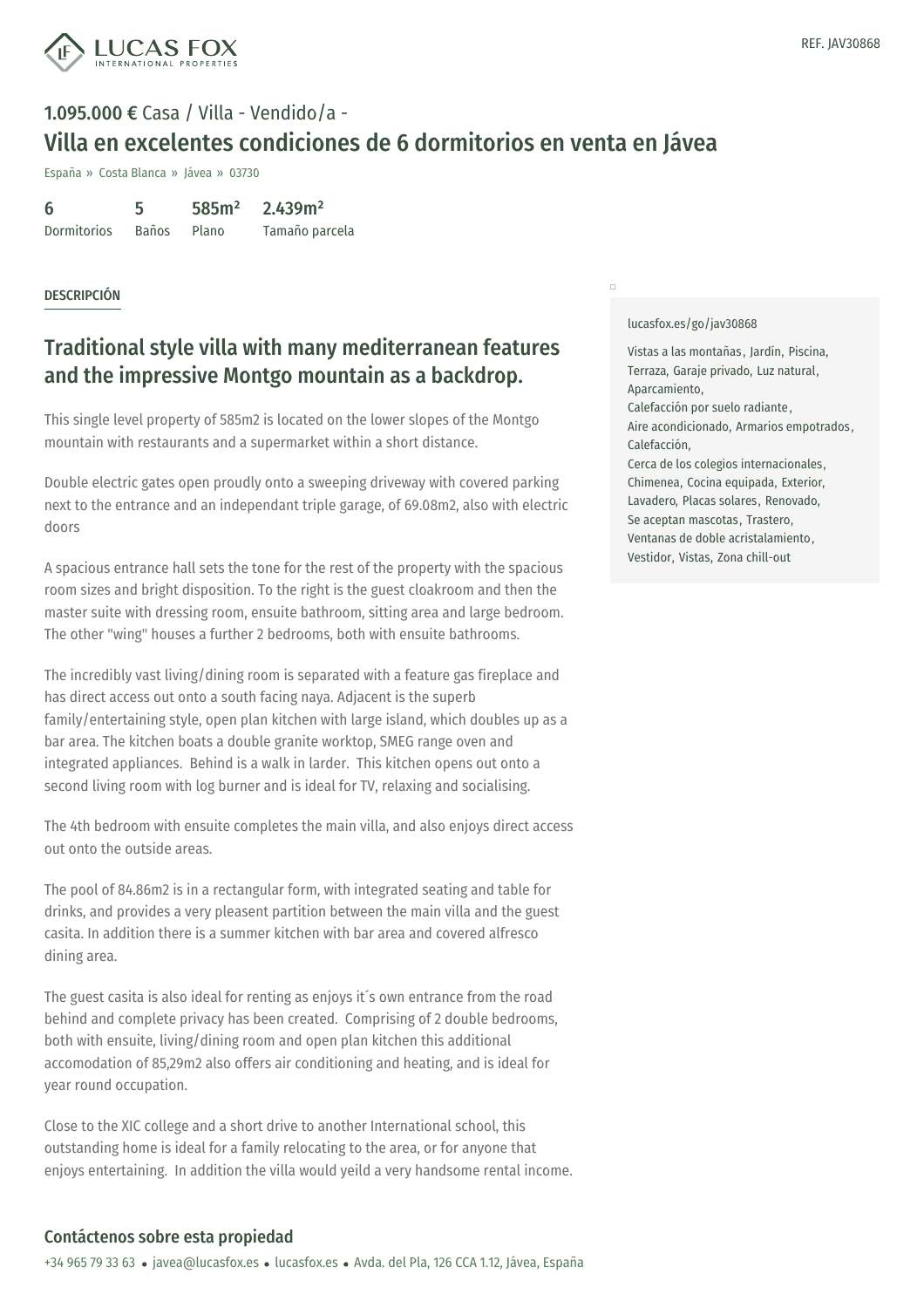

# 1.095.000 € Casa / Villa - Vendido/a - Villa en excelentes condiciones de 6 dormitorios en venta en Jávea

España » Costa Blanca » Jávea » 03730

| 6           | 5            | 585m <sup>2</sup> | 2.439m <sup>2</sup> |  |
|-------------|--------------|-------------------|---------------------|--|
| Dormitorios | <b>Baños</b> | Plano             | Tamaño parcela      |  |

#### DESCRIPCIÓN

## Traditional style villa with many mediterranean features and the impressive Montgo mountain as a backdrop.

This single level property of 585m2 is located on the lower slopes of the Montgo mountain with restaurants and a supermarket within a short distance.

Double electric gates open proudly onto a sweeping driveway with covered parking next to the entrance and an independant triple garage, of 69.08m2, also with electric doors

A spacious entrance hall sets the tone for the rest of the property with the spacious room sizes and bright disposition. To the right is the guest cloakroom and then the master suite with dressing room, ensuite bathroom, sitting area and large bedroom. The other "wing" houses a further 2 bedrooms, both with ensuite bathrooms.

The incredibly vast living/dining room is separated with a feature gas fireplace and has direct access out onto a south facing naya. Adjacent is the superb family/entertaining style, open plan kitchen with large island, which doubles up as a bar area. The kitchen boats a double granite worktop, SMEG range oven and integrated appliances. Behind is a walk in larder. This kitchen opens out onto a second living room with log burner and is ideal for TV, relaxing and socialising.

The 4th bedroom with ensuite completes the main villa, and also enjoys direct access out onto the outside areas.

The pool of 84.86m2 is in a rectangular form, with integrated seating and table for drinks, and provides a very pleasent partition between the main villa and the guest casita. In addition there is a summer kitchen with bar area and covered alfresco dining area.

The guest casita is also ideal for renting as enjoys it´s own entrance from the road behind and complete privacy has been created. Comprising of 2 double bedrooms, both with ensuite, living/dining room and open plan kitchen this additional accomodation of 85,29m2 also offers air conditioning and heating, and is ideal for year round occupation.

Close to the XIC college and a short drive to another International school, this outstanding home is ideal for a family relocating to the area, or for anyone that enjoys entertaining. In addition the villa would yeild a very handsome rental income.

#### [lucasfox.es/go/jav30868](https://www.lucasfox.es/go/jav30868)

 $\Box$ 

Vistas a las montañas , Jardín, Piscina, Terraza, Garaje privado, Luz natural, Aparcamiento, Calefacción por suelo radiante , Aire acondicionado, Armarios empotrados , Calefacción, Cerca de los colegios internacionales, Chimenea, Cocina equipada, Exterior, Lavadero, Placas solares, Renovado, Se aceptan mascotas, Trastero, Ventanas de doble acristalamiento, Vestidor, Vistas, Zona chill-out

### Contáctenos sobre esta propiedad

+34 965 79 33 63 · javea@lucasfox.es · lucasfox.es · Avda. del Pla, 126 CCA 1.12, Jávea, España